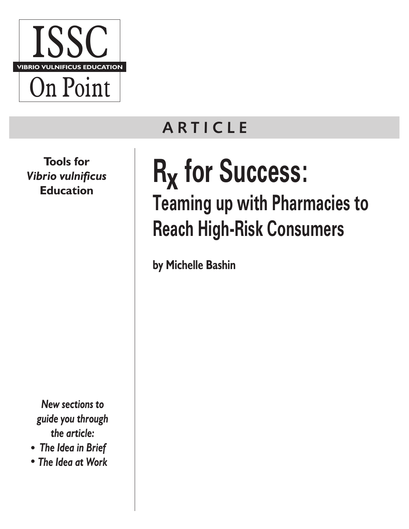

**A R TICLE**

**Tools for**  *Vibrio vulnificus* **Education** 

> *New sections to guide you through the article:*

- *The Idea in Brief*
- *The Idea at Work*

**R<sub>x</sub>** for Success: **Teaming up with Pharmacies to Reach High-Risk Consumers**

**by Michelle Bashin**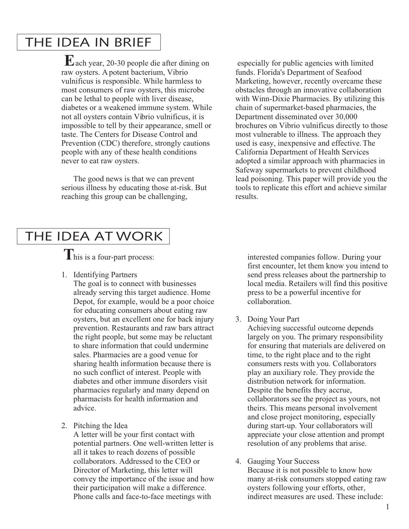# THE IDEA IN BRIEF

 ach year, 20-30 people die after dining on **E** raw oysters. A potent bacterium, Vibrio vulnificus is responsible. While harmless to most consumers of raw oysters, this microbe can be lethal to people with liver disease, diabetes or a weakened immune system. While not all oysters contain Vibrio vulnificus, it is impossible to tell by their appearance, smell or taste. The Centers for Disease Control and Prevention (CDC) therefore, strongly cautions people with any of these health conditions never to eat raw oysters.

The good news is that we can prevent serious illness by educating those at-risk. But reaching this group can be challenging,

 especially for public agencies with limited funds. Florida's Department of Seafood Marketing, however, recently overcame these obstacles through an innovative collaboration with Winn-Dixie Pharmacies. By utilizing this chain of supermarket-based pharmacies, the Department disseminated over 30,000 brochures on Vibrio vulnificus directly to those most vulnerable to illness. The approach they used is easy, inexpensive and effective. The California Department of Health Services adopted a similar approach with pharmacies in Safeway supermarkets to prevent childhood lead poisoning. This paper will provide you the tools to replicate this effort and achieve similar results.

# THE IDEA AT WORK

1. Identifying Partners

The goal is to connect with businesses already serving this target audience. Home Depot, for example, would be a poor choice for educating consumers about eating raw oysters, but an excellent one for back injury prevention. Restaurants and raw bars attract the right people, but some may be reluctant to share information that could undermine sales. Pharmacies are a good venue for sharing health information because there is no such conflict of interest. People with diabetes and other immune disorders visit pharmacies regularly and many depend on pharmacists for health information and advice.

2. Pitching the Idea

A letter will be your first contact with potential partners. One well-written letter is all it takes to reach dozens of possible collaborators. Addressed to the CEO or Director of Marketing, this letter will convey the importance of the issue and how their participation will make a difference. Phone calls and face-to-face meetings with

This is a four-part process: interested companies follow. During your first encounter, let them know you intend to send press releases about the partnership to local media. Retailers will find this positive press to be a powerful incentive for collaboration.

3. Doing Your Part

Achieving successful outcome depends largely on you. The primary responsibility for ensuring that materials are delivered on time, to the right place and to the right consumers rests with you. Collaborators play an auxiliary role. They provide the distribution network for information. Despite the benefits they accrue, collaborators see the project as yours, not theirs. This means personal involvement and close project monitoring, especially during start-up. Your collaborators will appreciate your close attention and prompt resolution of any problems that arise.

4. Gauging Your Success Because it is not possible to know how many at-risk consumers stopped eating raw oysters following your efforts, other, indirect measures are used. These include: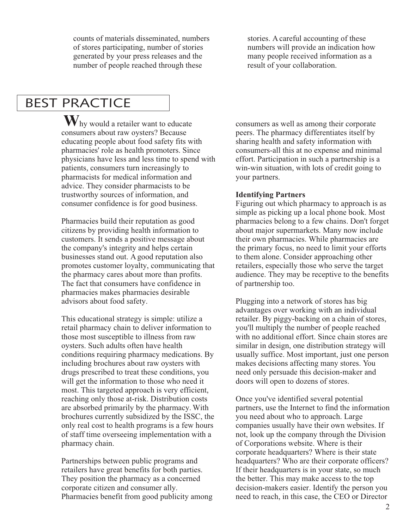counts of materials disseminated, numbers of stores participating, number of stories generated by your press releases and the number of people reached through these

stories. A careful accounting of these numbers will provide an indication how many people received information as a result of your collaboration.

# BEST PRACTICE

 hy would a retailer want to educate **W** consumers about raw oysters? Because educating people about food safety fits with pharmacies' role as health promoters. Since physicians have less and less time to spend with patients, consumers turn increasingly to pharmacists for medical information and advice. They consider pharmacists to be trustworthy sources of information, and consumer confidence is for good business.

Pharmacies build their reputation as good citizens by providing health information to customers. It sends a positive message about the company's integrity and helps certain businesses stand out. A good reputation also promotes customer loyalty, communicating that the pharmacy cares about more than profits. The fact that consumers have confidence in pharmacies makes pharmacies desirable advisors about food safety.

This educational strategy is simple: utilize a retail pharmacy chain to deliver information to those most susceptible to illness from raw oysters. Such adults often have health conditions requiring pharmacy medications. By including brochures about raw oysters with drugs prescribed to treat these conditions, you will get the information to those who need it most. This targeted approach is very efficient, reaching only those at-risk. Distribution costs are absorbed primarily by the pharmacy. With brochures currently subsidized by the ISSC, the only real cost to health programs is a few hours of staff time overseeing implementation with a pharmacy chain.

Partnerships between public programs and retailers have great benefits for both parties. They position the pharmacy as a concerned corporate citizen and consumer ally. Pharmacies benefit from good publicity among consumers as well as among their corporate peers. The pharmacy differentiates itself by sharing health and safety information with consumers-all this at no expense and minimal effort. Participation in such a partnership is a win-win situation, with lots of credit going to your partners.

### **Identifying Partners**

Figuring out which pharmacy to approach is as simple as picking up a local phone book. Most pharmacies belong to a few chains. Don't forget about major supermarkets. Many now include their own pharmacies. While pharmacies are the primary focus, no need to limit your efforts to them alone. Consider approaching other retailers, especially those who serve the target audience. They may be receptive to the benefits of partnership too.

Plugging into a network of stores has big advantages over working with an individual retailer. By piggy-backing on a chain of stores, you'll multiply the number of people reached with no additional effort. Since chain stores are similar in design, one distribution strategy will usually suffice. Most important, just one person makes decisions affecting many stores. You need only persuade this decision-maker and doors will open to dozens of stores.

Once you've identified several potential partners, use the Internet to find the information you need about who to approach. Large companies usually have their own websites. If not, look up the company through the Division of Corporations website. Where is their corporate headquarters? Where is their state headquarters? Who are their corporate officers? If their headquarters is in your state, so much the better. This may make access to the top decision-makers easier. Identify the person you need to reach, in this case, the CEO or Director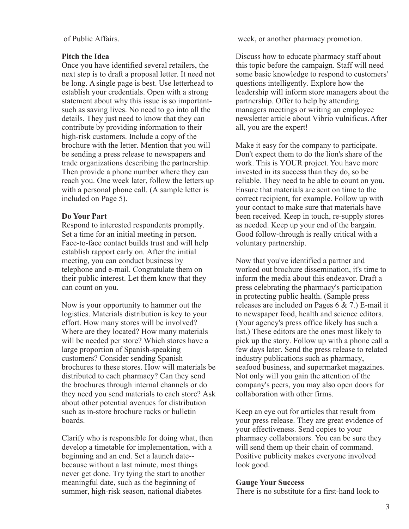of Public Affairs.

### **Pitch the Idea**

Once you have identified several retailers, the next step is to draft a proposal letter. It need not be long. A single page is best. Use letterhead to establish your credentials. Open with a strong statement about why this issue is so importantsuch as saving lives. No need to go into all the details. They just need to know that they can contribute by providing information to their high-risk customers. Include a copy of the brochure with the letter. Mention that you will be sending a press release to newspapers and trade organizations describing the partnership. Then provide a phone number where they can reach you. One week later, follow the letters up with a personal phone call. (A sample letter is included on Page 5).

### **Do Your Part**

Respond to interested respondents promptly. Set a time for an initial meeting in person. Face-to-face contact builds trust and will help establish rapport early on. After the initial meeting, you can conduct business by telephone and e-mail. Congratulate them on their public interest. Let them know that they can count on you.

Now is your opportunity to hammer out the logistics. Materials distribution is key to your effort. How many stores will be involved? Where are they located? How many materials will be needed per store? Which stores have a large proportion of Spanish-speaking customers? Consider sending Spanish brochures to these stores. How will materials be distributed to each pharmacy? Can they send the brochures through internal channels or do they need you send materials to each store? Ask about other potential avenues for distribution such as in-store brochure racks or bulletin boards.

Clarify who is responsible for doing what, then develop a timetable for implementation, with a beginning and an end. Set a launch date- because without a last minute, most things never get done. Try tying the start to another meaningful date, such as the beginning of summer, high-risk season, national diabetes

week, or another pharmacy promotion.

Discuss how to educate pharmacy staff about this topic before the campaign. Staff will need some basic knowledge to respond to customers' questions intelligently. Explore how the leadership will inform store managers about the partnership. Offer to help by attending managers meetings or writing an employee newsletter article about Vibrio vulnificus. After all, you are the expert!

Make it easy for the company to participate. Don't expect them to do the lion's share of the work. This is YOUR project. You have more invested in its success than they do, so be reliable. They need to be able to count on you. Ensure that materials are sent on time to the correct recipient, for example. Follow up with your contact to make sure that materials have been received. Keep in touch, re-supply stores as needed. Keep up your end of the bargain. Good follow-through is really critical with a voluntary partnership.

Now that you've identified a partner and worked out brochure dissemination, it's time to inform the media about this endeavor. Draft a press celebrating the pharmacy's participation in protecting public health. (Sample press releases are included on Pages 6 & 7.) E-mail it to newspaper food, health and science editors. (Your agency's press office likely has such a list.) These editors are the ones most likely to pick up the story. Follow up with a phone call a few days later. Send the press release to related industry publications such as pharmacy, seafood business, and supermarket magazines. Not only will you gain the attention of the company's peers, you may also open doors for collaboration with other firms.

Keep an eye out for articles that result from your press release. They are great evidence of your effectiveness. Send copies to your pharmacy collaborators. You can be sure they will send them up their chain of command. Positive publicity makes everyone involved look good.

### **Gauge Your Success**

There is no substitute for a first-hand look to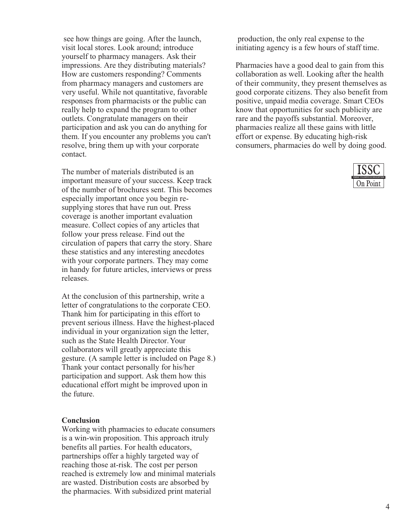see how things are going. After the launch, visit local stores. Look around; introduce yourself to pharmacy managers. Ask their impressions. Are they distributing materials? How are customers responding? Comments from pharmacy managers and customers are very useful. While not quantitative, favorable responses from pharmacists or the public can really help to expand the program to other outlets. Congratulate managers on their participation and ask you can do anything for them. If you encounter any problems you can't resolve, bring them up with your corporate contact.

The number of materials distributed is an important measure of your success. Keep track of the number of brochures sent. This becomes especially important once you begin resupplying stores that have run out. Press coverage is another important evaluation measure. Collect copies of any articles that follow your press release. Find out the circulation of papers that carry the story. Share these statistics and any interesting anecdotes with your corporate partners. They may come in handy for future articles, interviews or press releases.

At the conclusion of this partnership, write a letter of congratulations to the corporate CEO. Thank him for participating in this effort to prevent serious illness. Have the highest-placed individual in your organization sign the letter, such as the State Health Director. Your collaborators will greatly appreciate this gesture. (A sample letter is included on Page 8.) Thank your contact personally for his/her participation and support. Ask them how this educational effort might be improved upon in the future.

### **Conclusion**

Working with pharmacies to educate consumers is a win-win proposition. This approach itruly benefits all parties. For health educators, partnerships offer a highly targeted way of reaching those at-risk. The cost per person reached is extremely low and minimal materials are wasted. Distribution costs are absorbed by the pharmacies. With subsidized print material

 production, the only real expense to the initiating agency is a few hours of staff time.

Pharmacies have a good deal to gain from this collaboration as well. Looking after the health of their community, they present themselves as good corporate citizens. They also benefit from positive, unpaid media coverage. Smart CEOs know that opportunities for such publicity are rare and the payoffs substantial. Moreover, pharmacies realize all these gains with little effort or expense. By educating high-risk consumers, pharmacies do well by doing good.

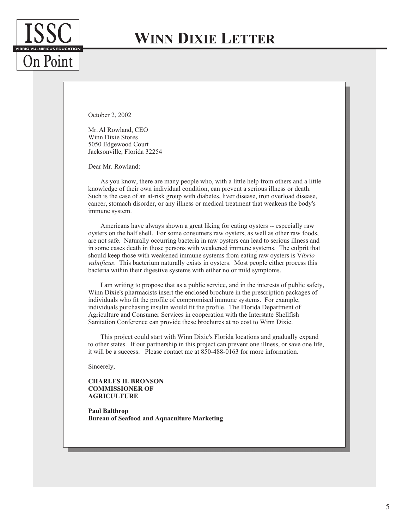# **WINN DIXIE LETTER**

October 2, 2002

**VIBRIO VULNIFICUS EDUCATION** 

On Point

Mr. Al Rowland, CEO Winn Dixie Stores 5050 Edgewood Court Jacksonville, Florida 32254

Dear Mr. Rowland:

As you know, there are many people who, with a little help from others and a little knowledge of their own individual condition, can prevent a serious illness or death. Such is the case of an at-risk group with diabetes, liver disease, iron overload disease, cancer, stomach disorder, or any illness or medical treatment that weakens the body's immune system.

Americans have always shown a great liking for eating oysters -- especially raw oysters on the half shell. For some consumers raw oysters, as well as other raw foods, are not safe. Naturally occurring bacteria in raw oysters can lead to serious illness and in some cases death in those persons with weakened immune systems. The culprit that should keep those with weakened immune systems from eating raw oysters is V*ibrio vulnificus*. This bacterium naturally exists in oysters. Most people either process this bacteria within their digestive systems with either no or mild symptoms.

I am writing to propose that as a public service, and in the interests of public safety, Winn Dixie's pharmacists insert the enclosed brochure in the prescription packages of individuals who fit the profile of compromised immune systems. For example, individuals purchasing insulin would fit the profile. The Florida Department of Agriculture and Consumer Services in cooperation with the Interstate Shellfish Sanitation Conference can provide these brochures at no cost to Winn Dixie.

This project could start with Winn Dixie's Florida locations and gradually expand to other states. If our partnership in this project can prevent one illness, or save one life, it will be a success. Please contact me at 850-488-0163 for more information.

Sincerely,

**CHARLES H. BRONSON COMMISSIONER OF AGRICULTURE**

**Paul Balthrop Bureau of Seafood and Aquaculture Marketing**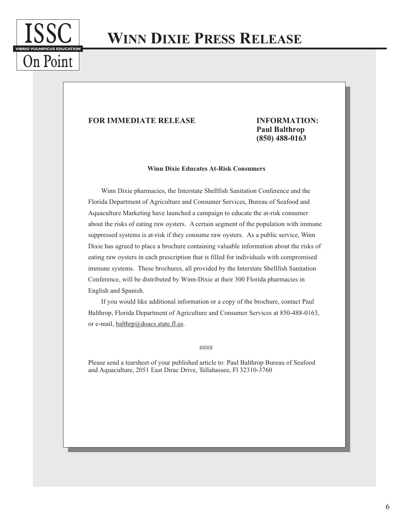

## **WINN DIXIE PRESS RELEASE**

#### **FOR IMMEDIATE RELEASE INFORMATION:**

### **Paul Balthrop (850) 488-0163**

#### **Winn Dixie Educates At-Risk Consumers**

Winn Dixie pharmacies, the Interstate Shellfish Sanitation Conference and the Florida Department of Agriculture and Consumer Services, Bureau of Seafood and Aquaculture Marketing have launched a campaign to educate the at-risk consumer about the risks of eating raw oysters. A certain segment of the population with immune suppressed systems is at-risk if they consume raw oysters. As a public service, Winn Dixie has agreed to place a brochure containing valuable information about the risks of eating raw oysters in each prescription that is filled for individuals with compromised immune systems. These brochures, all provided by the Interstate Shellfish Sanitation Conference, will be distributed by Winn-Dixie at their 300 Florida pharmacies in English and Spanish.

If you would like additional information or a copy of the brochure, contact Paul Balthrop, Florida Department of Agriculture and Consumer Services at 850-488-0163, or e-mail, balthrp@doacs.state.fl.us.

####

Please send a tearsheet of your published article to: Paul Balthrop Bureau of Seafood and Aquaculture, 2051 East Dirac Drive, Tallahassee, Fl 32310-3760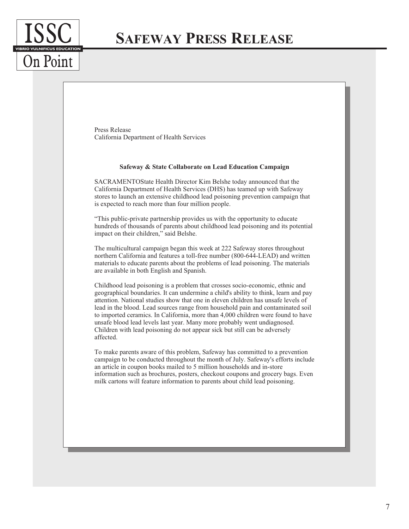

## **SAFEWAY PRESS RELEASE**

Press Release California Department of Health Services

#### **Safeway & State Collaborate on Lead Education Campaign**

SACRAMENTOState Health Director Kim Belshe today announced that the California Department of Health Services (DHS) has teamed up with Safeway stores to launch an extensive childhood lead poisoning prevention campaign that is expected to reach more than four million people.

"This public-private partnership provides us with the opportunity to educate hundreds of thousands of parents about childhood lead poisoning and its potential impact on their children," said Belshe.

The multicultural campaign began this week at 222 Safeway stores throughout northern California and features a toll-free number (800-644-LEAD) and written materials to educate parents about the problems of lead poisoning. The materials are available in both English and Spanish.

Childhood lead poisoning is a problem that crosses socio-economic, ethnic and geographical boundaries. It can undermine a child's ability to think, learn and pay attention. National studies show that one in eleven children has unsafe levels of lead in the blood. Lead sources range from household pain and contaminated soil to imported ceramics. In California, more than 4,000 children were found to have unsafe blood lead levels last year. Many more probably went undiagnosed. Children with lead poisoning do not appear sick but still can be adversely affected.

To make parents aware of this problem, Safeway has committed to a prevention campaign to be conducted throughout the month of July. Safeway's efforts include an article in coupon books mailed to 5 million households and in-store information such as brochures, posters, checkout coupons and grocery bags. Even milk cartons will feature information to parents about child lead poisoning.